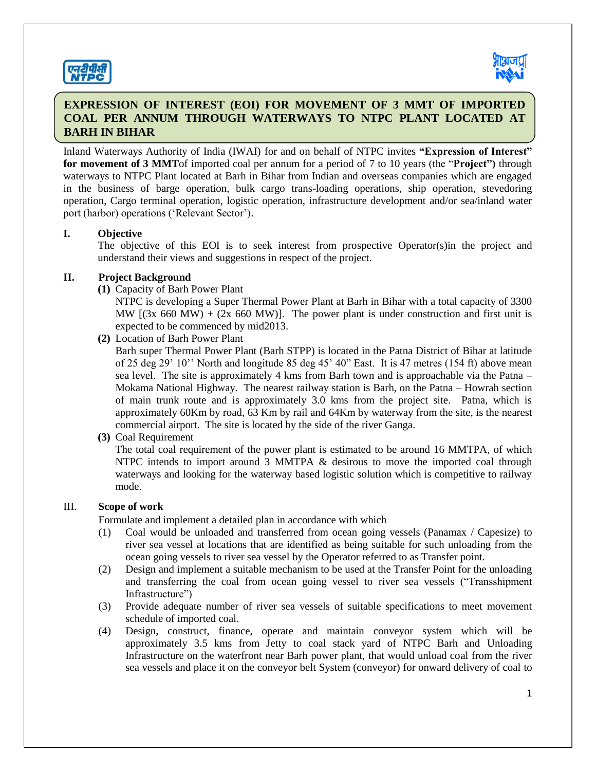



# **EXPRESSION OF INTEREST (EOI) FOR MOVEMENT OF 3 MMT OF IMPORTED COAL PER ANNUM THROUGH WATERWAYS TO NTPC PLANT LOCATED AT BARH IN BIHAR**

Inland Waterways Authority of India (IWAI) for and on behalf of NTPC invites **"Expression of Interest" for movement of 3 MMT**of imported coal per annum for a period of 7 to 10 years (the "**Project")** through waterways to NTPC Plant located at Barh in Bihar from Indian and overseas companies which are engaged in the business of barge operation, bulk cargo trans-loading operations, ship operation, stevedoring operation, Cargo terminal operation, logistic operation, infrastructure development and/or sea/inland water port (harbor) operations ("Relevant Sector").

## **I. Objective**

The objective of this EOI is to seek interest from prospective Operator(s)in the project and understand their views and suggestions in respect of the project.

## **II. Project Background**

**(1)** Capacity of Barh Power Plant

NTPC is developing a Super Thermal Power Plant at Barh in Bihar with a total capacity of 3300 MW  $[(3x 660 MW) + (2x 660 MW)]$ . The power plant is under construction and first unit is expected to be commenced by mid2013.

**(2)** Location of Barh Power Plant

Barh super Thermal Power Plant (Barh STPP) is located in the Patna District of Bihar at latitude of 25 deg 29'  $10$ " North and longitude 85 deg 45'  $40$ " East. It is 47 metres (154 ft) above mean sea level. The site is approximately 4 kms from Barh town and is approachable via the Patna – Mokama National Highway. The nearest railway station is Barh, on the Patna – Howrah section of main trunk route and is approximately 3.0 kms from the project site. Patna, which is approximately 60Km by road, 63 Km by rail and 64Km by waterway from the site, is the nearest commercial airport. The site is located by the side of the river Ganga.

**(3)** Coal Requirement

The total coal requirement of the power plant is estimated to be around 16 MMTPA, of which NTPC intends to import around 3 MMTPA & desirous to move the imported coal through waterways and looking for the waterway based logistic solution which is competitive to railway mode.

#### III. **Scope of work**

Formulate and implement a detailed plan in accordance with which

- (1) Coal would be unloaded and transferred from ocean going vessels (Panamax / Capesize) to river sea vessel at locations that are identified as being suitable for such unloading from the ocean going vessels to river sea vessel by the Operator referred to as Transfer point.
- (2) Design and implement a suitable mechanism to be used at the Transfer Point for the unloading and transferring the coal from ocean going vessel to river sea vessels ("Transshipment Infrastructure")
- (3) Provide adequate number of river sea vessels of suitable specifications to meet movement schedule of imported coal.
- (4) Design, construct, finance, operate and maintain conveyor system which will be approximately 3.5 kms from Jetty to coal stack yard of NTPC Barh and Unloading Infrastructure on the waterfront near Barh power plant, that would unload coal from the river sea vessels and place it on the conveyor belt System (conveyor) for onward delivery of coal to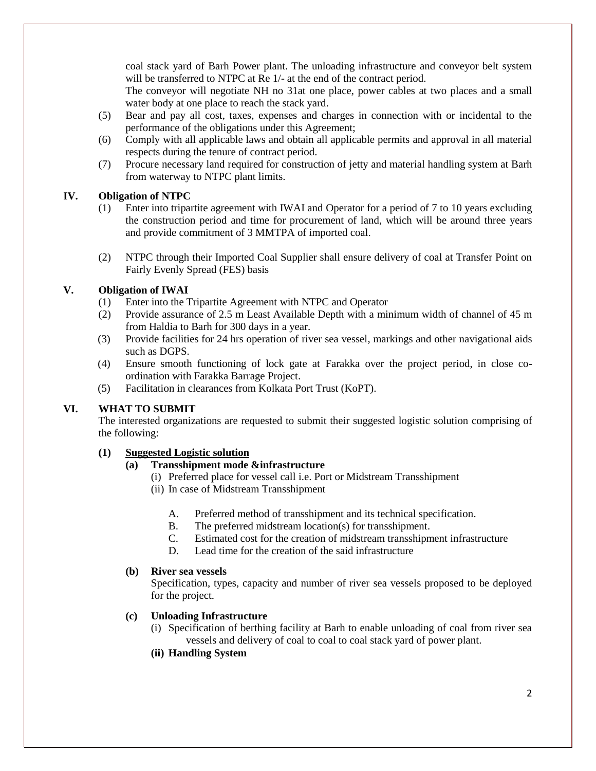coal stack yard of Barh Power plant. The unloading infrastructure and conveyor belt system will be transferred to NTPC at Re 1/- at the end of the contract period.

The conveyor will negotiate NH no 31at one place, power cables at two places and a small water body at one place to reach the stack yard.

- (5) Bear and pay all cost, taxes, expenses and charges in connection with or incidental to the performance of the obligations under this Agreement;
- (6) Comply with all applicable laws and obtain all applicable permits and approval in all material respects during the tenure of contract period.
- (7) Procure necessary land required for construction of jetty and material handling system at Barh from waterway to NTPC plant limits.

# **IV. Obligation of NTPC**

- (1) Enter into tripartite agreement with IWAI and Operator for a period of 7 to 10 years excluding the construction period and time for procurement of land, which will be around three years and provide commitment of 3 MMTPA of imported coal.
- (2) NTPC through their Imported Coal Supplier shall ensure delivery of coal at Transfer Point on Fairly Evenly Spread (FES) basis

# **V. Obligation of IWAI**

- (1) Enter into the Tripartite Agreement with NTPC and Operator
- (2) Provide assurance of 2.5 m Least Available Depth with a minimum width of channel of 45 m from Haldia to Barh for 300 days in a year.
- (3) Provide facilities for 24 hrs operation of river sea vessel, markings and other navigational aids such as DGPS.
- (4) Ensure smooth functioning of lock gate at Farakka over the project period, in close coordination with Farakka Barrage Project.
- (5) Facilitation in clearances from Kolkata Port Trust (KoPT).

## **VI. WHAT TO SUBMIT**

The interested organizations are requested to submit their suggested logistic solution comprising of the following:

## **(1) Suggested Logistic solution**

## **(a) Transshipment mode &infrastructure**

- (i) Preferred place for vessel call i.e. Port or Midstream Transshipment
- (ii) In case of Midstream Transshipment
	- A. Preferred method of transshipment and its technical specification.
	- B. The preferred midstream location(s) for transshipment.
	- C. Estimated cost for the creation of midstream transshipment infrastructure
	- D. Lead time for the creation of the said infrastructure

# **(b) River sea vessels**

Specification, types, capacity and number of river sea vessels proposed to be deployed for the project.

## **(c) Unloading Infrastructure**

- (i) Specification of berthing facility at Barh to enable unloading of coal from river sea vessels and delivery of coal to coal to coal stack yard of power plant.
- **(ii) Handling System**